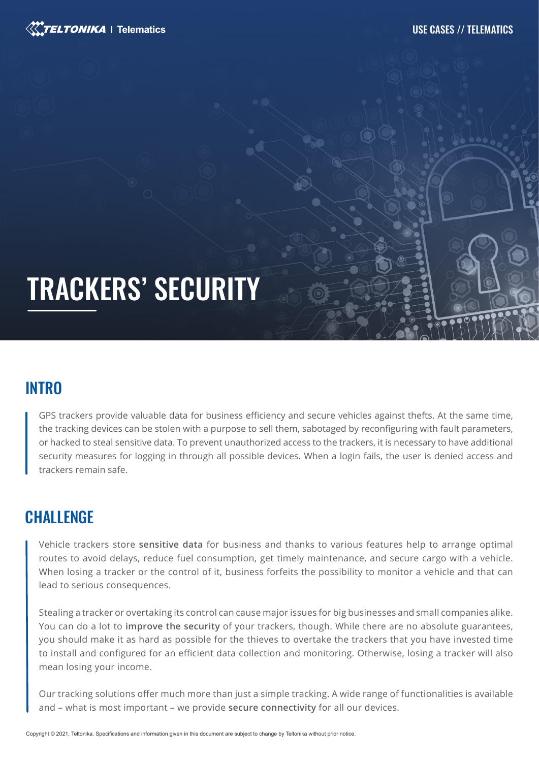

# TRACKERS' SECURITY

# **INTRO**

GPS trackers provide valuable data for business efficiency and secure vehicles against thefts. At the same time, the tracking devices can be stolen with a purpose to sell them, sabotaged by reconfiguring with fault parameters, or hacked to steal sensitive data. To prevent unauthorized access to the trackers, it is necessary to have additional security measures for logging in through all possible devices. When a login fails, the user is denied access and trackers remain safe.

### **CHALLENGE**

Vehicle trackers store **sensitive data** for business and thanks to various features help to arrange optimal routes to avoid delays, reduce fuel consumption, get timely maintenance, and secure cargo with a vehicle. When losing a tracker or the control of it, business forfeits the possibility to monitor a vehicle and that can lead to serious consequences.

Stealing a tracker or overtaking its control can cause major issues for big businesses and small companies alike. You can do a lot to **improve the security** of your trackers, though. While there are no absolute guarantees, you should make it as hard as possible for the thieves to overtake the trackers that you have invested time to install and configured for an efficient data collection and monitoring. Otherwise, losing a tracker will also mean losing your income.

Our tracking solutions offer much more than just a simple tracking. A wide range of functionalities is available and – what is most important – we provide **secure connectivity** for all our devices.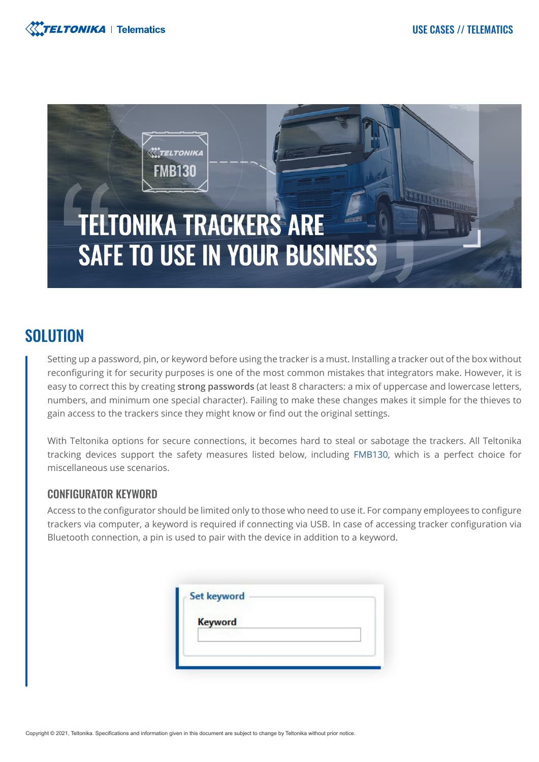



### **SOLUTION**

Setting up a password, pin, or keyword before using the tracker is a must. Installing a tracker out of the box without reconfiguring it for security purposes is one of the most common mistakes that integrators make. However, it is easy to correct this by creating **strong passwords** (at least 8 characters: a mix of uppercase and lowercase letters, numbers, and minimum one special character). Failing to make these changes makes it simple for the thieves to gain access to the trackers since they might know or find out the original settings.

With Teltonika options for secure connections, it becomes hard to steal or sabotage the trackers. All Teltonika tracking devices support the safety measures listed below, including [FMB130,](https://teltonika-gps.com/product/fmb130/) which is a perfect choice for miscellaneous use scenarios.

#### CONFIGURATOR KEYWORD

Access to the configurator should be limited only to those who need to use it. For company employees to configure trackers via computer, a keyword is required if connecting via USB. In case of accessing tracker configuration via Bluetooth connection, a pin is used to pair with the device in addition to a keyword.

| <b>Keyword</b> |  |  |
|----------------|--|--|
|                |  |  |

Copyright © 2021, Teltonika. Specifications and information given in this document are subject to change by Teltonika without prior notice.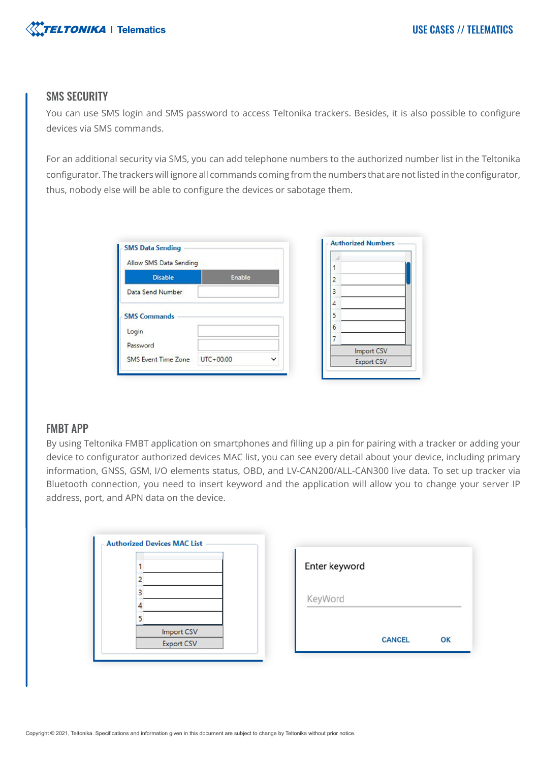

#### SMS SECURITY

You can use SMS login and SMS password to access Teltonika trackers. Besides, it is also possible to configure devices via SMS commands.

For an additional security via SMS, you can add telephone numbers to the authorized number list in the Teltonika configurator. The trackers will ignore all commands coming from the numbers that are not listed in the configurator, thus, nobody else will be able to configure the devices or sabotage them.

| <b>SMS Data Sending</b> |               |             | <b>Authorized Numbers</b>              |  |
|-------------------------|---------------|-------------|----------------------------------------|--|
| Allow SMS Data Sending  |               |             |                                        |  |
| <b>Disable</b>          | <b>Enable</b> |             | 2                                      |  |
| Data Send Number        |               |             | 3                                      |  |
|                         |               |             | 4                                      |  |
| <b>SMS Commands</b>     |               |             | 5                                      |  |
| Login                   |               |             | 6                                      |  |
| Password                |               |             | $\overline{\phantom{a}}$<br>Import CSV |  |
|                         |               | $\check{ }$ |                                        |  |

#### FMBT APP

By using Teltonika FMBT application on smartphones and filling up a pin for pairing with a tracker or adding your device to configurator authorized devices MAC list, you can see every detail about your device, including primary information, GNSS, GSM, I/O elements status, OBD, and LV-CAN200/ALL-CAN300 live data. To set up tracker via Bluetooth connection, you need to insert keyword and the application will allow you to change your server IP address, port, and APN data on the device.

|                   | Enter keyword       |
|-------------------|---------------------|
|                   |                     |
|                   |                     |
|                   | KeyWord             |
|                   |                     |
| Import CSV        |                     |
| <b>Export CSV</b> | <b>CANCEL</b><br>OK |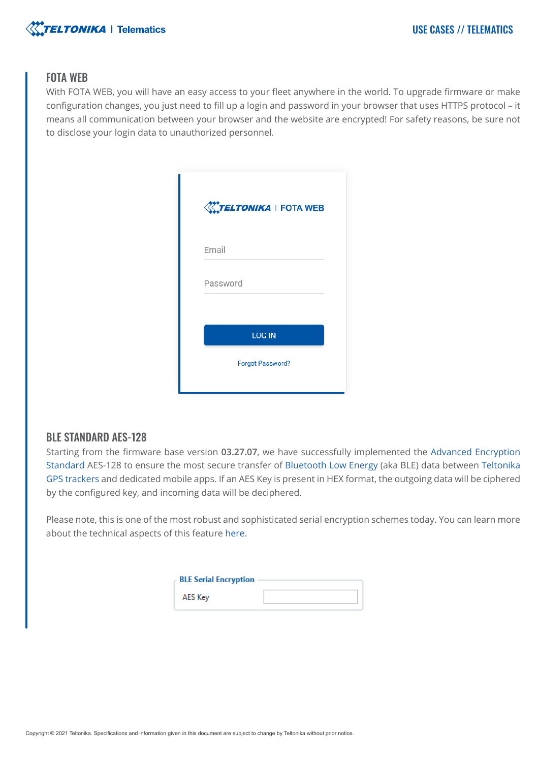

#### FOTA WEB

With FOTA WEB, you will have an easy access to your fleet anywhere in the world. To upgrade firmware or make configuration changes, you just need to fill up a login and password in your browser that uses HTTPS protocol – it means all communication between your browser and the website are encrypted! For safety reasons, be sure not to disclose your login data to unauthorized personnel.

| <b>WTELTONIKA</b>   FOTA WEB |
|------------------------------|
| Email                        |
| Password                     |
| <b>LOG IN</b>                |
| <b>Forgot Password?</b>      |

#### BLE STANDARD AES-128

Starting from the firmware base version **03.27.07**, we have successfully implemented the [Advanced Encryption](https://en.wikipedia.org/wiki/Advanced_Encryption_Standard)  [Standard](https://en.wikipedia.org/wiki/Advanced_Encryption_Standard) AES-128 to ensure the most secure transfer of [Bluetooth Low Energy](https://en.wikipedia.org/wiki/Bluetooth_Low_Energy) (aka BLE) data between [Teltonika](https://teltonika-gps.com/products/vehicle-tracking/)  [GPS trackers](https://teltonika-gps.com/products/vehicle-tracking/) and dedicated mobile apps. If an AES Key is present in HEX format, the outgoing data will be ciphered by the configured key, and incoming data will be deciphered.

Please note, this is one of the most robust and sophisticated serial encryption schemes today. You can learn more about the technical aspects of this featur[e here](https://wiki.teltonika-gps.com/view/BLE_AES128).

| <b>BLE Serial Encryption</b> |  |
|------------------------------|--|
| AES Key                      |  |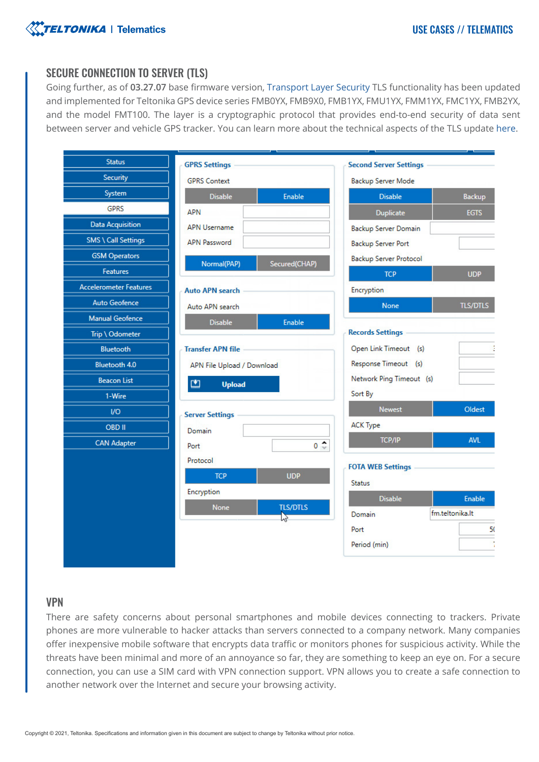

#### SECURE CONNECTION TO SERVER (TLS)

Going further, as of **03.27.07** base firmware version[, Transport Layer Security](https://en.wikipedia.org/wiki/Transport_Layer_Security) TLS functionality has been updated and implemented for Teltonika GPS device series FMB0YX, FMB9X0, FMB1YX, FMU1YX, FMM1YX, FMC1YX, FMB2YX, and the model FMT100. The layer is a cryptographic protocol that provides end-to-end security of data sent between server and vehicle GPS tracker. You can learn more about the technical aspects of the TLS update [here.](https://wiki.teltonika-gps.com/view/Template:FMM_GPRS_settings#TLS.2FDTLS)

| <b>Status</b>                 | <b>GPRS Settings</b>           | <b>Second Server Settings</b>                      |
|-------------------------------|--------------------------------|----------------------------------------------------|
| <b>Security</b>               | <b>GPRS Context</b>            | Backup Server Mode                                 |
| System                        | <b>Disable</b><br>Enable       | Backup<br><b>Disable</b>                           |
| <b>GPRS</b>                   | <b>APN</b>                     | <b>Duplicate</b><br><b>EGTS</b>                    |
| <b>Data Acquisition</b>       | <b>APN Username</b>            | <b>Backup Server Domain</b>                        |
| <b>SMS \ Call Settings</b>    | <b>APN Password</b>            | <b>Backup Server Port</b>                          |
| <b>GSM Operators</b>          | Normal(PAP)<br>Secured(CHAP)   | <b>Backup Server Protocol</b>                      |
| <b>Features</b>               |                                | <b>TCP</b><br><b>UDP</b>                           |
| <b>Accelerometer Features</b> | <b>Auto APN search</b>         | <b>Encryption</b>                                  |
| <b>Auto Geofence</b>          | Auto APN search                | <b>TLS/DTLS</b><br><b>None</b>                     |
| <b>Manual Geofence</b>        | <b>Disable</b><br>Enable       |                                                    |
| Trip \ Odometer               |                                | <b>Records Settings</b>                            |
| <b>Bluetooth</b>              | <b>Transfer APN file</b>       | Open Link Timeout (s)                              |
| <b>Bluetooth 4.0</b>          | APN File Upload / Download     | Response Timeout (s)                               |
| <b>Beacon List</b>            | 凹<br><b>Upload</b>             | Network Ping Timeout (s)                           |
| 1-Wire                        |                                | Sort By                                            |
| I/O                           | <b>Server Settings</b>         | <b>Newest</b><br>Oldest                            |
| OBD II                        | Domain                         | <b>ACK Type</b>                                    |
| <b>CAN Adapter</b>            | $0^{\bullet}$<br>Port          | <b>AVL</b><br><b>TCP/IP</b>                        |
|                               | Protocol                       | <b>FOTA WEB Settings</b>                           |
|                               | <b>TCP</b><br><b>UDP</b>       |                                                    |
|                               | Encryption                     | <b>Status</b>                                      |
|                               | <b>TLS/DTLS</b><br><b>None</b> | <b>Disable</b><br><b>Enable</b><br>fm.teltonika.lt |
|                               | $\sum$                         | Domain<br>50                                       |
|                               |                                | Port<br>Period (min)                               |
|                               |                                |                                                    |

#### VPN

There are safety concerns about personal smartphones and mobile devices connecting to trackers. Private phones are more vulnerable to hacker attacks than servers connected to a company network. Many companies offer inexpensive mobile software that encrypts data traffic or monitors phones for suspicious activity. While the threats have been minimal and more of an annoyance so far, they are something to keep an eye on. For a secure connection, you can use a SIM card with VPN connection support. VPN allows you to create a safe connection to another network over the Internet and secure your browsing activity.